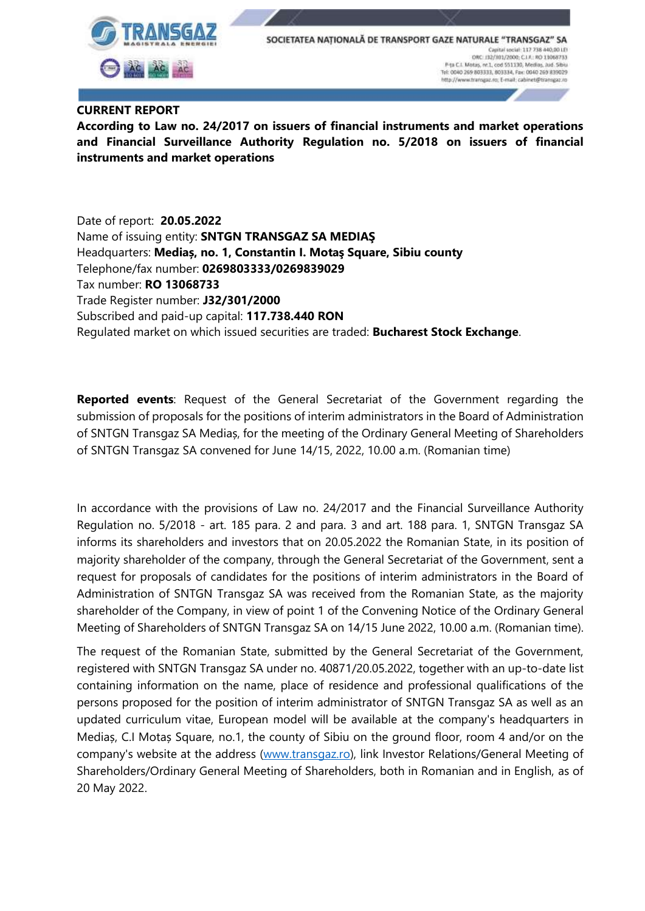

SOCIETATEA NATIONALĂ DE TRANSPORT GAZE NATURALE "TRANSGAZ" **SA** Capital social: 117 738 440,00 LEI ORC: 13/101/2000; C.I.R.: RO 13068733<br>P (a C.I. Motas, nr.1, cod 551130, Medias, Jud. Sibia Tel: 0040 269 803333, 803334, Fax: 0040 269 839029 http://www.transgaz.ro; E-mail: cabinet@transgaz.ro

## **CURRENT REPORT**

**According to Law no. 24/2017 on issuers of financial instruments and market operations and Financial Surveillance Authority Regulation no. 5/2018 on issuers of financial instruments and market operations**

Date of report: **20.05.2022**  Name of issuing entity: **SNTGN TRANSGAZ SA MEDIAŞ** Headquarters: **Mediaș, no. 1, Constantin I. Motaş Square, Sibiu county** Telephone/fax number: **0269803333/0269839029** Tax number: **RO 13068733** Trade Register number: **J32/301/2000** Subscribed and paid-up capital: **117.738.440 RON** Regulated market on which issued securities are traded: **Bucharest Stock Exchange**.

**Reported events**: Request of the General Secretariat of the Government regarding the submission of proposals for the positions of interim administrators in the Board of Administration of SNTGN Transgaz SA Mediaș, for the meeting of the Ordinary General Meeting of Shareholders of SNTGN Transgaz SA convened for June 14/15, 2022, 10.00 a.m. (Romanian time)

In accordance with the provisions of Law no. 24/2017 and the Financial Surveillance Authority Regulation no. 5/2018 - art. 185 para. 2 and para. 3 and art. 188 para. 1, SNTGN Transgaz SA informs its shareholders and investors that on 20.05.2022 the Romanian State, in its position of majority shareholder of the company, through the General Secretariat of the Government, sent a request for proposals of candidates for the positions of interim administrators in the Board of Administration of SNTGN Transgaz SA was received from the Romanian State, as the majority shareholder of the Company, in view of point 1 of the Convening Notice of the Ordinary General Meeting of Shareholders of SNTGN Transgaz SA on 14/15 June 2022, 10.00 a.m. (Romanian time).

The request of the Romanian State, submitted by the General Secretariat of the Government, registered with SNTGN Transgaz SA under no. 40871/20.05.2022, together with an up-to-date list containing information on the name, place of residence and professional qualifications of the persons proposed for the position of interim administrator of SNTGN Transgaz SA as well as an updated curriculum vitae, European model will be available at the company's headquarters in Mediaș, C.I Motaș Square, no.1, the county of Sibiu on the ground floor, room 4 and/or on the company's website at the address [\(www.transgaz.ro\)](http://www.transgaz.ro/), link Investor Relations/General Meeting of Shareholders/Ordinary General Meeting of Shareholders, both in Romanian and in English, as of 20 May 2022.